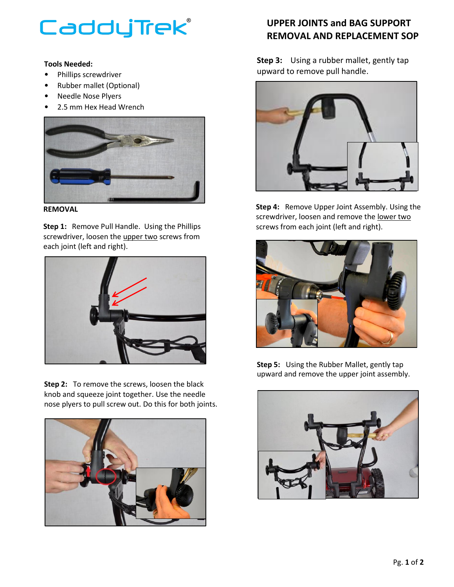## CaddyTrek®

## **Tools Needed:**

- Phillips screwdriver
- Rubber mallet (Optional)
- Needle Nose Plyers
- 2.5 mm Hex Head Wrench



**REMOVAL**

**Step 1:** Remove Pull Handle. Using the Phillips screwdriver, loosen the upper two screws from each joint (left and right).



**Step 2:** To remove the screws, loosen the black knob and squeeze joint together. Use the needle nose plyers to pull screw out. Do this for both joints.



## **UPPER JOINTS and BAG SUPPORT REMOVAL AND REPLACEMENT SOP**

**Step 3:** Using a rubber mallet, gently tap upward to remove pull handle.



**Step 4:** Remove Upper Joint Assembly. Using the screwdriver, loosen and remove the lower two screws from each joint (left and right).



**Step 5:** Using the Rubber Mallet, gently tap upward and remove the upper joint assembly.